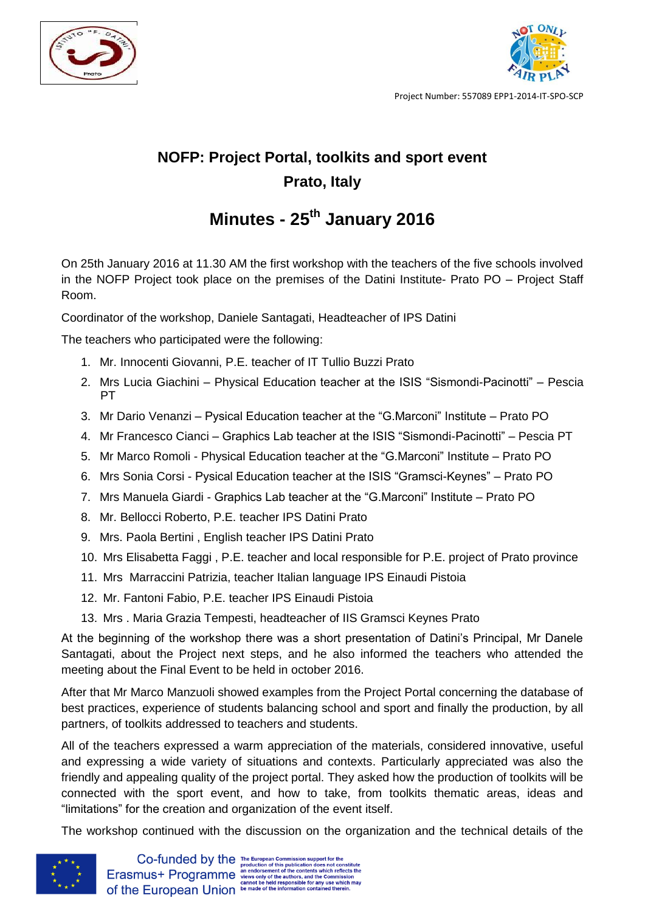



Project Number: 557089 EPP1-2014-IT-SPO-SCP

## **NOFP: Project Portal, toolkits and sport event Prato, Italy**

## **Minutes - 25th January 2016**

On 25th January 2016 at 11.30 AM the first workshop with the teachers of the five schools involved in the NOFP Project took place on the premises of the Datini Institute- Prato PO – Project Staff Room.

Coordinator of the workshop, Daniele Santagati, Headteacher of IPS Datini

The teachers who participated were the following:

- 1. Mr. Innocenti Giovanni, P.E. teacher of IT Tullio Buzzi Prato
- 2. Mrs Lucia Giachini Physical Education teacher at the ISIS "Sismondi-Pacinotti" Pescia PT
- 3. Mr Dario Venanzi Pysical Education teacher at the "G.Marconi" Institute Prato PO
- 4. Mr Francesco Cianci Graphics Lab teacher at the ISIS "Sismondi-Pacinotti" Pescia PT
- 5. Mr Marco Romoli Physical Education teacher at the "G.Marconi" Institute Prato PO
- 6. Mrs Sonia Corsi Pysical Education teacher at the ISIS "Gramsci-Keynes" Prato PO
- 7. Mrs Manuela Giardi Graphics Lab teacher at the "G.Marconi" Institute Prato PO
- 8. Mr. Bellocci Roberto, P.E. teacher IPS Datini Prato
- 9. Mrs. Paola Bertini , English teacher IPS Datini Prato
- 10. Mrs Elisabetta Faggi , P.E. teacher and local responsible for P.E. project of Prato province
- 11. Mrs Marraccini Patrizia, teacher Italian language IPS Einaudi Pistoia
- 12. Mr. Fantoni Fabio, P.E. teacher IPS Einaudi Pistoia
- 13. Mrs . Maria Grazia Tempesti, headteacher of IIS Gramsci Keynes Prato

At the beginning of the workshop there was a short presentation of Datini's Principal, Mr Danele Santagati, about the Project next steps, and he also informed the teachers who attended the meeting about the Final Event to be held in october 2016.

After that Mr Marco Manzuoli showed examples from the Project Portal concerning the database of best practices, experience of students balancing school and sport and finally the production, by all partners, of toolkits addressed to teachers and students.

All of the teachers expressed a warm appreciation of the materials, considered innovative, useful and expressing a wide variety of situations and contexts. Particularly appreciated was also the friendly and appealing quality of the project portal. They asked how the production of toolkits will be connected with the sport event, and how to take, from toolkits thematic areas, ideas and "limitations" for the creation and organization of the event itself.

The workshop continued with the discussion on the organization and the technical details of the